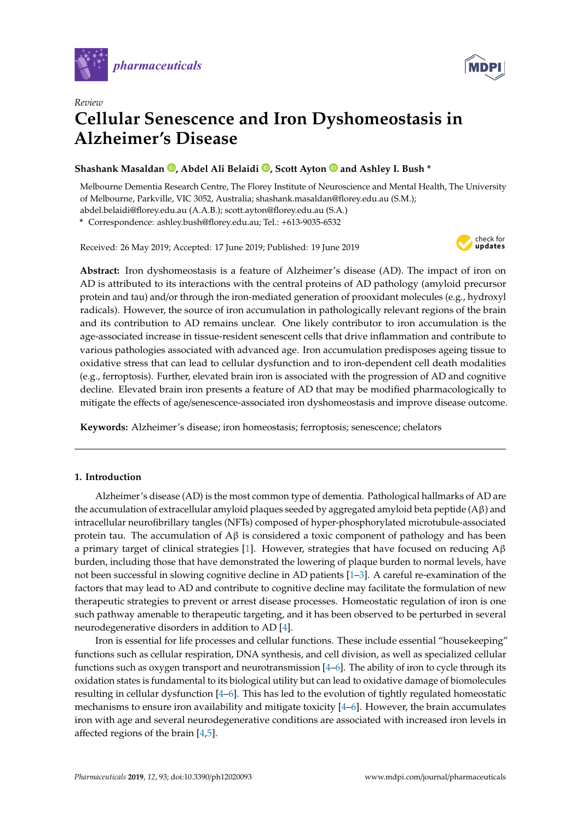



# *Review* **Cellular Senescence and Iron Dyshomeostasis in Alzheimer's Disease**

## **Shashank Masaldan [,](https://orcid.org/0000-0003-4960-4983) Abdel Ali Belaidi [,](https://orcid.org/0000-0003-0792-8728) Scott Ayton and Ashley I. Bush \***

Melbourne Dementia Research Centre, The Florey Institute of Neuroscience and Mental Health, The University of Melbourne, Parkville, VIC 3052, Australia; shashank.masaldan@florey.edu.au (S.M.);

abdel.belaidi@florey.edu.au (A.A.B.); scott.ayton@florey.edu.au (S.A.)

**\*** Correspondence: ashley.bush@florey.edu.au; Tel.: +613-9035-6532

Received: 26 May 2019; Accepted: 17 June 2019; Published: 19 June 2019



**Abstract:** Iron dyshomeostasis is a feature of Alzheimer's disease (AD). The impact of iron on AD is attributed to its interactions with the central proteins of AD pathology (amyloid precursor protein and tau) and/or through the iron-mediated generation of prooxidant molecules (e.g., hydroxyl radicals). However, the source of iron accumulation in pathologically relevant regions of the brain and its contribution to AD remains unclear. One likely contributor to iron accumulation is the age-associated increase in tissue-resident senescent cells that drive inflammation and contribute to various pathologies associated with advanced age. Iron accumulation predisposes ageing tissue to oxidative stress that can lead to cellular dysfunction and to iron-dependent cell death modalities (e.g., ferroptosis). Further, elevated brain iron is associated with the progression of AD and cognitive decline. Elevated brain iron presents a feature of AD that may be modified pharmacologically to mitigate the effects of age/senescence-associated iron dyshomeostasis and improve disease outcome.

**Keywords:** Alzheimer's disease; iron homeostasis; ferroptosis; senescence; chelators

## **1. Introduction**

Alzheimer's disease (AD) is the most common type of dementia. Pathological hallmarks of AD are the accumulation of extracellular amyloid plaques seeded by aggregated amyloid beta peptide ( $A\beta$ ) and intracellular neurofibrillary tangles (NFTs) composed of hyper-phosphorylated microtubule-associated protein tau. The accumulation of  $\Lambda\beta$  is considered a toxic component of pathology and has been a primary target of clinical strategies [\[1\]](#page-5-0). However, strategies that have focused on reducing  $\beta\beta$ burden, including those that have demonstrated the lowering of plaque burden to normal levels, have not been successful in slowing cognitive decline in AD patients [\[1](#page-5-0)[–3\]](#page-5-1). A careful re-examination of the factors that may lead to AD and contribute to cognitive decline may facilitate the formulation of new therapeutic strategies to prevent or arrest disease processes. Homeostatic regulation of iron is one such pathway amenable to therapeutic targeting, and it has been observed to be perturbed in several neurodegenerative disorders in addition to AD [\[4\]](#page-5-2).

Iron is essential for life processes and cellular functions. These include essential "housekeeping" functions such as cellular respiration, DNA synthesis, and cell division, as well as specialized cellular functions such as oxygen transport and neurotransmission [\[4–](#page-5-2)[6\]](#page-5-3). The ability of iron to cycle through its oxidation states is fundamental to its biological utility but can lead to oxidative damage of biomolecules resulting in cellular dysfunction [\[4](#page-5-2)[–6\]](#page-5-3). This has led to the evolution of tightly regulated homeostatic mechanisms to ensure iron availability and mitigate toxicity [\[4–](#page-5-2)[6\]](#page-5-3). However, the brain accumulates iron with age and several neurodegenerative conditions are associated with increased iron levels in affected regions of the brain [\[4](#page-5-2)[,5\]](#page-5-4).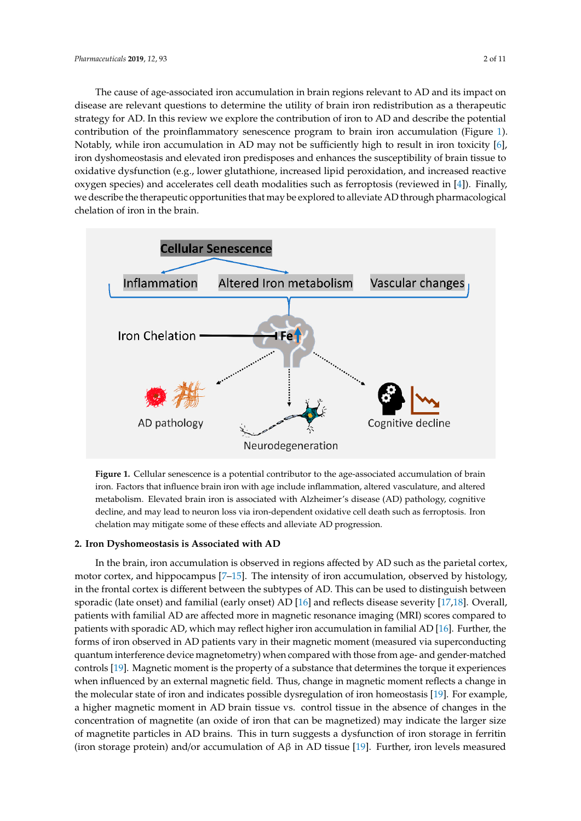The cause of age-associated iron accumulation in brain regions relevant to AD and its impact on disease are relevant questions to determine the utility of brain iron redistribution as a therapeutic disease are relevant questions to determine the utility of brain from redistribution as a therapeutic<br>strategy for AD. In this review we explore the contribution of iron to AD and describe the potential contribution of the proinflammatory senescence program to brain iron accumulation (Figure [1\)](#page-1-0). contribution of the proinflammatory senescence program to brain iron accumulation (Figure 1). Notably, while iron accumulation in AD may not be sufficiently high to result in iron toxicity [\[6\]](#page-5-3), Notably, while iron accumulation in AD may not be sufficiently high to result in iron toxicity [6], iron dyshomeostasis and elevated iron predisposes and enhances the susceptibility of brain tissue to iron dyshomeostasis and elevated iron predisposes and enhances the susceptibility of brain tissue to oxidative dysfunction (e.g., lower glutathione, increased lipid peroxidation, and increased reactive oxidative dysfunction (e.g., lower glutathione, increased lipid peroxidation, and increased reactive oxygen species) and accelerates cell death modalities such as ferroptosis (reviewed in [\[4\]](#page-5-2)). Finally, oxygen species) and accelerates cell death modalities such as ferroptosis (reviewed in [4]). Finally, we describe the therapeutic opportunities that may be explored to alleviate AD through pharmacological we describe the therapeutic opportunities that may be explored to alleviate AD through chelation of iron in the brain. pharmacological chelation of iron in the brain. strategy for AD. In this review we explore the contribution of iron to AD and describe the potential

<span id="page-1-0"></span>

**Figure 1.** Cellular senescence is a potential contributor to the age-associated accumulation of brain **Figure 1.** Cellular senescence is a potential contributor to the age-associated accumulation of brain iron. Factors that influence brain iron with age include inflammation, altered vasculature, and iron. Factors that influence brain iron with age include inflammation, altered vasculature, and altered metabolism. Elevated brain iron is associated with Alzheimer's disease (AD) pathology, cognitive decline, and may lead to neuron loss via iron-dependent oxidative cell death such as ferroptosis. Iron chelation may mitigate some of these effects and alleviate AD progression.

## **2. Iron Dyshomeostasis is Associated with AD 2. Iron Dyshomeostasis is Associated with AD**

In the brain, iron accumulation is observed in regions affected by AD such as the parietal cortex, In the brain, iron accumulation is observed in regions affected by AD such as the parietal cortex, motor cortex, and hippocampus [7-[15\]](#page-5-6). The intensity of iron accumulation, observed by histology, the frontal cortex is different between the subtypes of AD. This can be used to distinguish between in the frontal cortex is different between the subtypes of AD. This can be used to distinguish between sporadic (late onset) and familial (early onset) AD [16] and reflects disease severity [17,18]. Overall, sporadic (late onset) and familial (early onset) AD [\[16\]](#page-6-0) and reflects disease severity [\[17,](#page-6-1)[18\]](#page-6-2). Overall, patients with familial AD are affected more in magnetic resonance imaging (MRI) scores compared patients with familial AD are affected more in magnetic resonance imaging (MRI) scores compared to n<br>patients with sporadic AD, which may reflect higher iron accumulation in familial AD [\[16\]](#page-6-0). Further, the forms of iron observed in AD patients vary in their magnetic moment (measured via superconducting superconducting quantum interference device magnetometry) when compared with those from age-quantum interference device magnetometry) when compared with those from age- and gender-matched and matched controls and general matched controls with doce homings and general matched controls [\[19\]](#page-6-3). Magnetic moment is the property of a substance that determines the torque it experiences when influenced by an external magnetic field. Thus, change in magnetic moment reflects a change in the molecular state of iron and indicates possible dysregulation of iron homeostasis [\[19\]](#page-6-3). For example, a higher magnetic moment in AD brain tissue vs. control tissue in the absence of changes in the concentration of magnetite (an oxide of iron that can be magnetized) may indicate the larger size of magnetite particles in AD brains. This in turn suggests a dysfunction of iron storage in ferritin (iron storage protein) and/or accumulation of  $A\beta$  in AD tissue [\[19\]](#page-6-3). Further, iron levels measured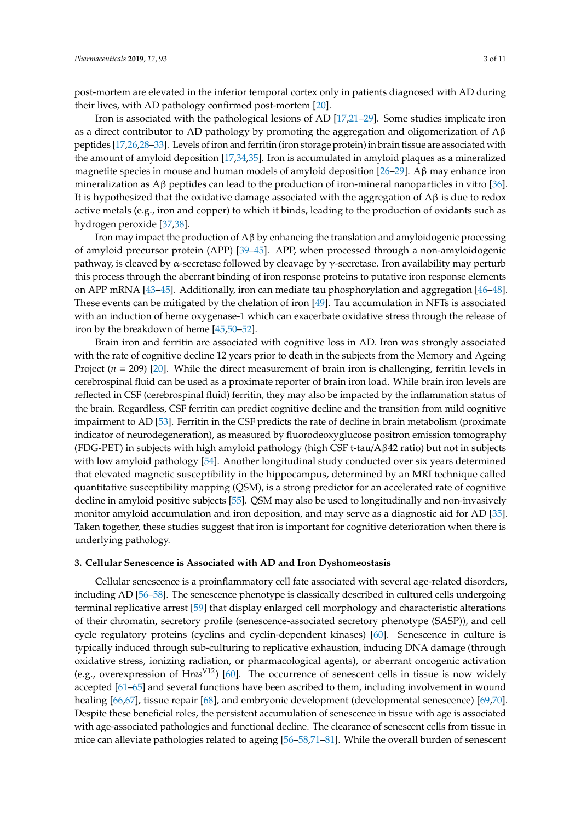post-mortem are elevated in the inferior temporal cortex only in patients diagnosed with AD during their lives, with AD pathology confirmed post-mortem [\[20\]](#page-6-4).

Iron is associated with the pathological lesions of AD [\[17,](#page-6-1)[21–](#page-6-5)[29\]](#page-6-6). Some studies implicate iron as a direct contributor to AD pathology by promoting the aggregation and oligomerization of  $A\beta$ peptides [\[17](#page-6-1)[,26,](#page-6-7)[28](#page-6-8)[–33\]](#page-6-9). Levels of iron and ferritin (iron storage protein) in brain tissue are associated with the amount of amyloid deposition [\[17](#page-6-1)[,34](#page-6-10)[,35\]](#page-6-11). Iron is accumulated in amyloid plaques as a mineralized magnetite species in mouse and human models of amyloid deposition [\[26](#page-6-7)[–29\]](#page-6-6). A $\beta$  may enhance iron mineralization as Aβ peptides can lead to the production of iron-mineral nanoparticles in vitro [\[36\]](#page-7-0). It is hypothesized that the oxidative damage associated with the aggregation of  $\mathbf{A}\beta$  is due to redox active metals (e.g., iron and copper) to which it binds, leading to the production of oxidants such as hydrogen peroxide [\[37](#page-7-1)[,38\]](#page-7-2).

Iron may impact the production of  $\beta \beta$  by enhancing the translation and amyloidogenic processing of amyloid precursor protein (APP) [\[39](#page-7-3)[–45\]](#page-7-4). APP, when processed through a non-amyloidogenic pathway, is cleaved by  $\alpha$ -secretase followed by cleavage by γ-secretase. Iron availability may perturb this process through the aberrant binding of iron response proteins to putative iron response elements on APP mRNA [\[43–](#page-7-5)[45\]](#page-7-4). Additionally, iron can mediate tau phosphorylation and aggregation [\[46–](#page-7-6)[48\]](#page-7-7). These events can be mitigated by the chelation of iron [\[49\]](#page-7-8). Tau accumulation in NFTs is associated with an induction of heme oxygenase-1 which can exacerbate oxidative stress through the release of iron by the breakdown of heme [\[45,](#page-7-4)[50](#page-7-9)[–52\]](#page-7-10).

Brain iron and ferritin are associated with cognitive loss in AD. Iron was strongly associated with the rate of cognitive decline 12 years prior to death in the subjects from the Memory and Ageing Project (*n* = 209) [\[20\]](#page-6-4). While the direct measurement of brain iron is challenging, ferritin levels in cerebrospinal fluid can be used as a proximate reporter of brain iron load. While brain iron levels are reflected in CSF (cerebrospinal fluid) ferritin, they may also be impacted by the inflammation status of the brain. Regardless, CSF ferritin can predict cognitive decline and the transition from mild cognitive impairment to AD [\[53\]](#page-7-11). Ferritin in the CSF predicts the rate of decline in brain metabolism (proximate indicator of neurodegeneration), as measured by fluorodeoxyglucose positron emission tomography (FDG-PET) in subjects with high amyloid pathology (high CSF t-tau/ $\Delta \beta$ 42 ratio) but not in subjects with low amyloid pathology [\[54\]](#page-7-12). Another longitudinal study conducted over six years determined that elevated magnetic susceptibility in the hippocampus, determined by an MRI technique called quantitative susceptibility mapping (QSM), is a strong predictor for an accelerated rate of cognitive decline in amyloid positive subjects [\[55\]](#page-8-0). QSM may also be used to longitudinally and non-invasively monitor amyloid accumulation and iron deposition, and may serve as a diagnostic aid for AD [\[35\]](#page-6-11). Taken together, these studies suggest that iron is important for cognitive deterioration when there is underlying pathology.

#### **3. Cellular Senescence is Associated with AD and Iron Dyshomeostasis**

Cellular senescence is a proinflammatory cell fate associated with several age-related disorders, including AD [\[56](#page-8-1)[–58\]](#page-8-2). The senescence phenotype is classically described in cultured cells undergoing terminal replicative arrest [\[59\]](#page-8-3) that display enlarged cell morphology and characteristic alterations of their chromatin, secretory profile (senescence-associated secretory phenotype (SASP)), and cell cycle regulatory proteins (cyclins and cyclin-dependent kinases) [\[60\]](#page-8-4). Senescence in culture is typically induced through sub-culturing to replicative exhaustion, inducing DNA damage (through oxidative stress, ionizing radiation, or pharmacological agents), or aberrant oncogenic activation (e.g., overexpression of H*ras*V12) [\[60\]](#page-8-4). The occurrence of senescent cells in tissue is now widely accepted [\[61–](#page-8-5)[65\]](#page-8-6) and several functions have been ascribed to them, including involvement in wound healing [\[66](#page-8-7)[,67\]](#page-8-8), tissue repair [\[68\]](#page-8-9), and embryonic development (developmental senescence) [\[69,](#page-8-10)[70\]](#page-8-11). Despite these beneficial roles, the persistent accumulation of senescence in tissue with age is associated with age-associated pathologies and functional decline. The clearance of senescent cells from tissue in mice can alleviate pathologies related to ageing [\[56–](#page-8-1)[58](#page-8-2)[,71](#page-8-12)[–81\]](#page-9-0). While the overall burden of senescent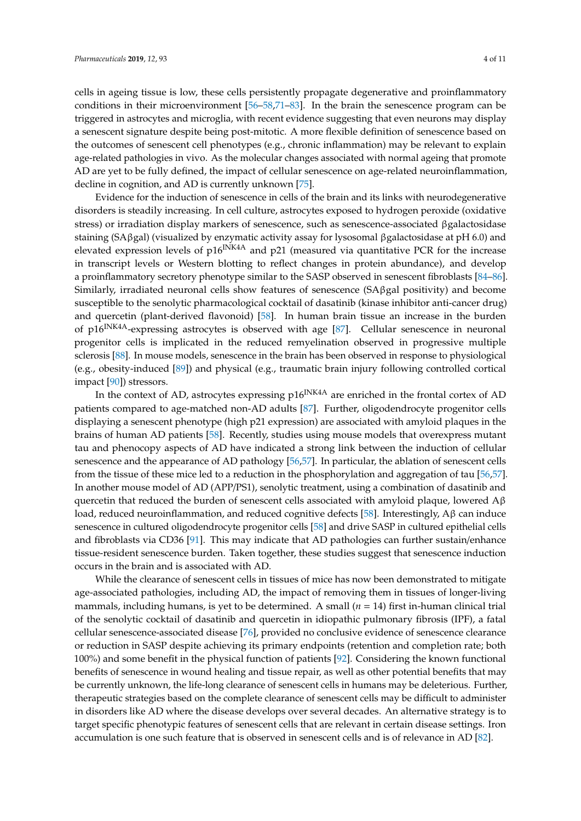cells in ageing tissue is low, these cells persistently propagate degenerative and proinflammatory conditions in their microenvironment [\[56](#page-8-1)[–58,](#page-8-2)[71](#page-8-12)[–83\]](#page-9-1). In the brain the senescence program can be triggered in astrocytes and microglia, with recent evidence suggesting that even neurons may display a senescent signature despite being post-mitotic. A more flexible definition of senescence based on the outcomes of senescent cell phenotypes (e.g., chronic inflammation) may be relevant to explain age-related pathologies in vivo. As the molecular changes associated with normal ageing that promote AD are yet to be fully defined, the impact of cellular senescence on age-related neuroinflammation, decline in cognition, and AD is currently unknown [\[75\]](#page-9-2).

Evidence for the induction of senescence in cells of the brain and its links with neurodegenerative disorders is steadily increasing. In cell culture, astrocytes exposed to hydrogen peroxide (oxidative stress) or irradiation display markers of senescence, such as senescence-associated βgalactosidase staining (SAβgal) (visualized by enzymatic activity assay for lysosomal βgalactosidase at pH 6.0) and elevated expression levels of  $p16^{INK4A}$  and  $p21$  (measured via quantitative PCR for the increase in transcript levels or Western blotting to reflect changes in protein abundance), and develop a proinflammatory secretory phenotype similar to the SASP observed in senescent fibroblasts [\[84–](#page-9-3)[86\]](#page-9-4). Similarly, irradiated neuronal cells show features of senescence (SAβgal positivity) and become susceptible to the senolytic pharmacological cocktail of dasatinib (kinase inhibitor anti-cancer drug) and quercetin (plant-derived flavonoid) [\[58\]](#page-8-2). In human brain tissue an increase in the burden of  $p16^{INK4A}$ -expressing astrocytes is observed with age [\[87\]](#page-9-5). Cellular senescence in neuronal progenitor cells is implicated in the reduced remyelination observed in progressive multiple sclerosis [\[88\]](#page-9-6). In mouse models, senescence in the brain has been observed in response to physiological (e.g., obesity-induced [\[89\]](#page-9-7)) and physical (e.g., traumatic brain injury following controlled cortical impact [\[90\]](#page-9-8)) stressors.

In the context of AD, astrocytes expressing  $p16^{INK4A}$  are enriched in the frontal cortex of AD patients compared to age-matched non-AD adults [\[87\]](#page-9-5). Further, oligodendrocyte progenitor cells displaying a senescent phenotype (high p21 expression) are associated with amyloid plaques in the brains of human AD patients [\[58\]](#page-8-2). Recently, studies using mouse models that overexpress mutant tau and phenocopy aspects of AD have indicated a strong link between the induction of cellular senescence and the appearance of AD pathology [\[56,](#page-8-1)[57\]](#page-8-13). In particular, the ablation of senescent cells from the tissue of these mice led to a reduction in the phosphorylation and aggregation of tau [\[56,](#page-8-1)[57\]](#page-8-13). In another mouse model of AD (APP/PS1), senolytic treatment, using a combination of dasatinib and quercetin that reduced the burden of senescent cells associated with amyloid plaque, lowered  $A\beta$ load, reduced neuroinflammation, and reduced cognitive defects [\[58\]](#page-8-2). Interestingly,  $\text{A}β$  can induce senescence in cultured oligodendrocyte progenitor cells [\[58\]](#page-8-2) and drive SASP in cultured epithelial cells and fibroblasts via CD36 [\[91\]](#page-9-9). This may indicate that AD pathologies can further sustain/enhance tissue-resident senescence burden. Taken together, these studies suggest that senescence induction occurs in the brain and is associated with AD.

While the clearance of senescent cells in tissues of mice has now been demonstrated to mitigate age-associated pathologies, including AD, the impact of removing them in tissues of longer-living mammals, including humans, is yet to be determined. A small  $(n = 14)$  first in-human clinical trial of the senolytic cocktail of dasatinib and quercetin in idiopathic pulmonary fibrosis (IPF), a fatal cellular senescence-associated disease [\[76\]](#page-9-10), provided no conclusive evidence of senescence clearance or reduction in SASP despite achieving its primary endpoints (retention and completion rate; both 100%) and some benefit in the physical function of patients [\[92\]](#page-9-11). Considering the known functional benefits of senescence in wound healing and tissue repair, as well as other potential benefits that may be currently unknown, the life-long clearance of senescent cells in humans may be deleterious. Further, therapeutic strategies based on the complete clearance of senescent cells may be difficult to administer in disorders like AD where the disease develops over several decades. An alternative strategy is to target specific phenotypic features of senescent cells that are relevant in certain disease settings. Iron accumulation is one such feature that is observed in senescent cells and is of relevance in AD [\[82\]](#page-9-12).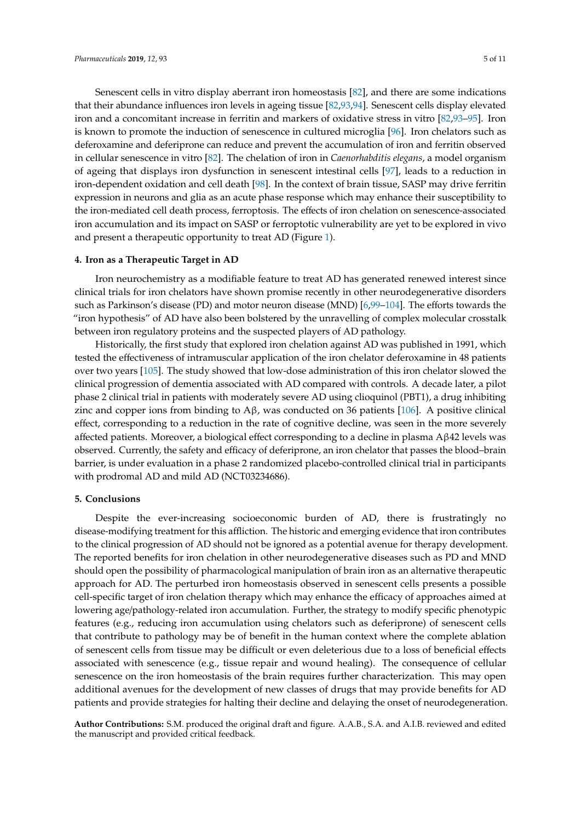Senescent cells in vitro display aberrant iron homeostasis [\[82\]](#page-9-12), and there are some indications that their abundance influences iron levels in ageing tissue [\[82](#page-9-12)[,93](#page-9-13)[,94\]](#page-10-0). Senescent cells display elevated iron and a concomitant increase in ferritin and markers of oxidative stress in vitro [\[82](#page-9-12)[,93–](#page-9-13)[95\]](#page-10-1). Iron is known to promote the induction of senescence in cultured microglia [\[96\]](#page-10-2). Iron chelators such as deferoxamine and deferiprone can reduce and prevent the accumulation of iron and ferritin observed in cellular senescence in vitro [\[82\]](#page-9-12). The chelation of iron in *Caenorhabditis elegans*, a model organism of ageing that displays iron dysfunction in senescent intestinal cells [\[97\]](#page-10-3), leads to a reduction in iron-dependent oxidation and cell death [\[98\]](#page-10-4). In the context of brain tissue, SASP may drive ferritin expression in neurons and glia as an acute phase response which may enhance their susceptibility to the iron-mediated cell death process, ferroptosis. The effects of iron chelation on senescence-associated iron accumulation and its impact on SASP or ferroptotic vulnerability are yet to be explored in vivo and present a therapeutic opportunity to treat AD (Figure [1\)](#page-1-0).

## **4. Iron as a Therapeutic Target in AD**

Iron neurochemistry as a modifiable feature to treat AD has generated renewed interest since clinical trials for iron chelators have shown promise recently in other neurodegenerative disorders such as Parkinson's disease (PD) and motor neuron disease (MND) [\[6](#page-5-3)[,99–](#page-10-5)[104\]](#page-10-6). The efforts towards the "iron hypothesis" of AD have also been bolstered by the unravelling of complex molecular crosstalk between iron regulatory proteins and the suspected players of AD pathology.

Historically, the first study that explored iron chelation against AD was published in 1991, which tested the effectiveness of intramuscular application of the iron chelator deferoxamine in 48 patients over two years [\[105\]](#page-10-7). The study showed that low-dose administration of this iron chelator slowed the clinical progression of dementia associated with AD compared with controls. A decade later, a pilot phase 2 clinical trial in patients with moderately severe AD using clioquinol (PBT1), a drug inhibiting zinc and copper ions from binding to  $A\beta$ , was conducted on 36 patients [\[106\]](#page-10-8). A positive clinical effect, corresponding to a reduction in the rate of cognitive decline, was seen in the more severely affected patients. Moreover, a biological effect corresponding to a decline in plasma Aβ42 levels was observed. Currently, the safety and efficacy of deferiprone, an iron chelator that passes the blood–brain barrier, is under evaluation in a phase 2 randomized placebo-controlled clinical trial in participants with prodromal AD and mild AD (NCT03234686).

## **5. Conclusions**

Despite the ever-increasing socioeconomic burden of AD, there is frustratingly no disease-modifying treatment for this affliction. The historic and emerging evidence that iron contributes to the clinical progression of AD should not be ignored as a potential avenue for therapy development. The reported benefits for iron chelation in other neurodegenerative diseases such as PD and MND should open the possibility of pharmacological manipulation of brain iron as an alternative therapeutic approach for AD. The perturbed iron homeostasis observed in senescent cells presents a possible cell-specific target of iron chelation therapy which may enhance the efficacy of approaches aimed at lowering age/pathology-related iron accumulation. Further, the strategy to modify specific phenotypic features (e.g., reducing iron accumulation using chelators such as deferiprone) of senescent cells that contribute to pathology may be of benefit in the human context where the complete ablation of senescent cells from tissue may be difficult or even deleterious due to a loss of beneficial effects associated with senescence (e.g., tissue repair and wound healing). The consequence of cellular senescence on the iron homeostasis of the brain requires further characterization. This may open additional avenues for the development of new classes of drugs that may provide benefits for AD patients and provide strategies for halting their decline and delaying the onset of neurodegeneration.

**Author Contributions:** S.M. produced the original draft and figure. A.A.B., S.A. and A.I.B. reviewed and edited the manuscript and provided critical feedback.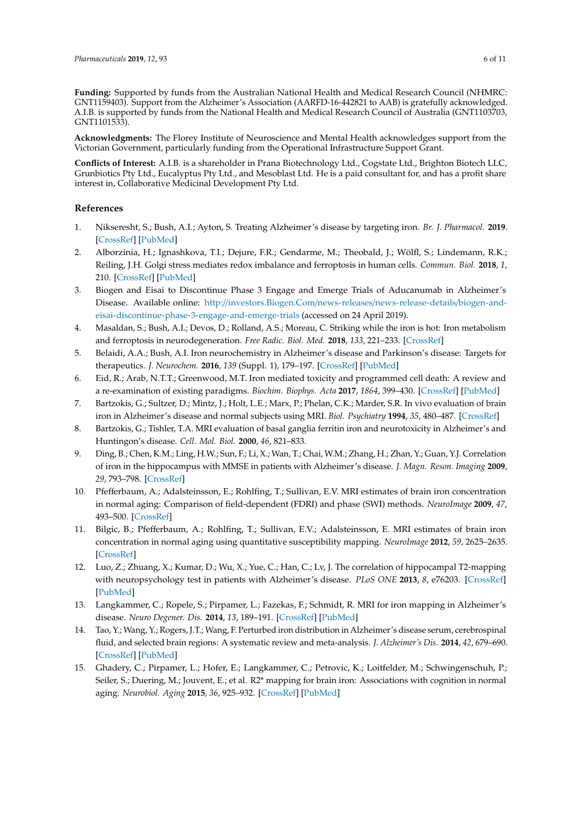**Funding:** Supported by funds from the Australian National Health and Medical Research Council (NHMRC: GNT1159403). Support from the Alzheimer's Association (AARFD-16-442821 to AAB) is gratefully acknowledged. A.I.B. is supported by funds from the National Health and Medical Research Council of Australia (GNT1103703, GNT1101533).

**Acknowledgments:** The Florey Institute of Neuroscience and Mental Health acknowledges support from the Victorian Government, particularly funding from the Operational Infrastructure Support Grant.

**Conflicts of Interest:** A.I.B. is a shareholder in Prana Biotechnology Ltd., Cogstate Ltd., Brighton Biotech LLC, Grunbiotics Pty Ltd., Eucalyptus Pty Ltd., and Mesoblast Ltd. He is a paid consultant for, and has a profit share interest in, Collaborative Medicinal Development Pty Ltd.

## **References**

- <span id="page-5-0"></span>1. Nikseresht, S.; Bush, A.I.; Ayton, S. Treating Alzheimer's disease by targeting iron. *Br. J. Pharmacol.* **2019**. [\[CrossRef\]](http://dx.doi.org/10.1111/bph.14567) [\[PubMed\]](http://www.ncbi.nlm.nih.gov/pubmed/30632143)
- 2. Alborzinia, H.; Ignashkova, T.I.; Dejure, F.R.; Gendarme, M.; Theobald, J.; Wölfl, S.; Lindemann, R.K.; Reiling, J.H. Golgi stress mediates redox imbalance and ferroptosis in human cells. *Commun. Biol.* **2018**, *1*, 210. [\[CrossRef\]](http://dx.doi.org/10.1038/s42003-018-0212-6) [\[PubMed\]](http://www.ncbi.nlm.nih.gov/pubmed/30511023)
- <span id="page-5-1"></span>3. Biogen and Eisai to Discontinue Phase 3 Engage and Emerge Trials of Aducanumab in Alzheimer's Disease. Available online: http://[investors.Biogen.Com](http://investors.Biogen.Com/news-releases/news-release-details/biogen-and-eisai-discontinue-phase-3-engage-and-emerge-trials)/news-releases/news-release-details/biogen-and[eisai-discontinue-phase-3-engage-and-emerge-trials](http://investors.Biogen.Com/news-releases/news-release-details/biogen-and-eisai-discontinue-phase-3-engage-and-emerge-trials) (accessed on 24 April 2019).
- <span id="page-5-2"></span>4. Masaldan, S.; Bush, A.I.; Devos, D.; Rolland, A.S.; Moreau, C. Striking while the iron is hot: Iron metabolism and ferroptosis in neurodegeneration. *Free Radic. Biol. Med.* **2018**, *133*, 221–233. [\[CrossRef\]](http://dx.doi.org/10.1016/j.freeradbiomed.2018.09.033)
- <span id="page-5-4"></span>5. Belaidi, A.A.; Bush, A.I. Iron neurochemistry in Alzheimer's disease and Parkinson's disease: Targets for therapeutics. *J. Neurochem.* **2016**, *139* (Suppl. 1), 179–197. [\[CrossRef\]](http://dx.doi.org/10.1111/jnc.13425) [\[PubMed\]](http://www.ncbi.nlm.nih.gov/pubmed/26545340)
- <span id="page-5-3"></span>6. Eid, R.; Arab, N.T.T.; Greenwood, M.T. Iron mediated toxicity and programmed cell death: A review and a re-examination of existing paradigms. *Biochim. Biophys. Acta* **2017**, *1864*, 399–430. [\[CrossRef\]](http://dx.doi.org/10.1016/j.bbamcr.2016.12.002) [\[PubMed\]](http://www.ncbi.nlm.nih.gov/pubmed/27939167)
- <span id="page-5-5"></span>7. Bartzokis, G.; Sultzer, D.; Mintz, J.; Holt, L.E.; Marx, P.; Phelan, C.K.; Marder, S.R. In vivo evaluation of brain iron in Alzheimer's disease and normal subjects using MRI. *Biol. Psychiatry* **1994**, *35*, 480–487. [\[CrossRef\]](http://dx.doi.org/10.1016/0006-3223(94)90047-7)
- 8. Bartzokis, G.; Tishler, T.A. MRI evaluation of basal ganglia ferritin iron and neurotoxicity in Alzheimer's and Huntingon's disease. *Cell. Mol. Biol.* **2000**, *46*, 821–833.
- 9. Ding, B.; Chen, K.M.; Ling, H.W.; Sun, F.; Li, X.; Wan, T.; Chai, W.M.; Zhang, H.; Zhan, Y.; Guan, Y.J. Correlation of iron in the hippocampus with MMSE in patients with Alzheimer's disease. *J. Magn. Reson. Imaging* **2009**, *29*, 793–798. [\[CrossRef\]](http://dx.doi.org/10.1002/jmri.21730)
- 10. Pfefferbaum, A.; Adalsteinsson, E.; Rohlfing, T.; Sullivan, E.V. MRI estimates of brain iron concentration in normal aging: Comparison of field-dependent (FDRI) and phase (SWI) methods. *NeuroImage* **2009**, *47*, 493–500. [\[CrossRef\]](http://dx.doi.org/10.1016/j.neuroimage.2009.05.006)
- 11. Bilgic, B.; Pfefferbaum, A.; Rohlfing, T.; Sullivan, E.V.; Adalsteinsson, E. MRI estimates of brain iron concentration in normal aging using quantitative susceptibility mapping. *NeuroImage* **2012**, *59*, 2625–2635. [\[CrossRef\]](http://dx.doi.org/10.1016/j.neuroimage.2011.08.077)
- 12. Luo, Z.; Zhuang, X.; Kumar, D.; Wu, X.; Yue, C.; Han, C.; Lv, J. The correlation of hippocampal T2-mapping with neuropsychology test in patients with Alzheimer's disease. *PLoS ONE* **2013**, *8*, e76203. [\[CrossRef\]](http://dx.doi.org/10.1371/journal.pone.0076203) [\[PubMed\]](http://www.ncbi.nlm.nih.gov/pubmed/24098779)
- 13. Langkammer, C.; Ropele, S.; Pirpamer, L.; Fazekas, F.; Schmidt, R. MRI for iron mapping in Alzheimer's disease. *Neuro Degener. Dis.* **2014**, *13*, 189–191. [\[CrossRef\]](http://dx.doi.org/10.1159/000353756) [\[PubMed\]](http://www.ncbi.nlm.nih.gov/pubmed/23942230)
- 14. Tao, Y.; Wang, Y.; Rogers, J.T.; Wang, F. Perturbed iron distribution in Alzheimer's disease serum, cerebrospinal fluid, and selected brain regions: A systematic review and meta-analysis. *J. Alzheimer's Dis.* **2014**, *42*, 679–690. [\[CrossRef\]](http://dx.doi.org/10.3233/JAD-140396) [\[PubMed\]](http://www.ncbi.nlm.nih.gov/pubmed/24916541)
- <span id="page-5-6"></span>15. Ghadery, C.; Pirpamer, L.; Hofer, E.; Langkammer, C.; Petrovic, K.; Loitfelder, M.; Schwingenschuh, P.; Seiler, S.; Duering, M.; Jouvent, E.; et al. R2\* mapping for brain iron: Associations with cognition in normal aging. *Neurobiol. Aging* **2015**, *36*, 925–932. [\[CrossRef\]](http://dx.doi.org/10.1016/j.neurobiolaging.2014.09.013) [\[PubMed\]](http://www.ncbi.nlm.nih.gov/pubmed/25443291)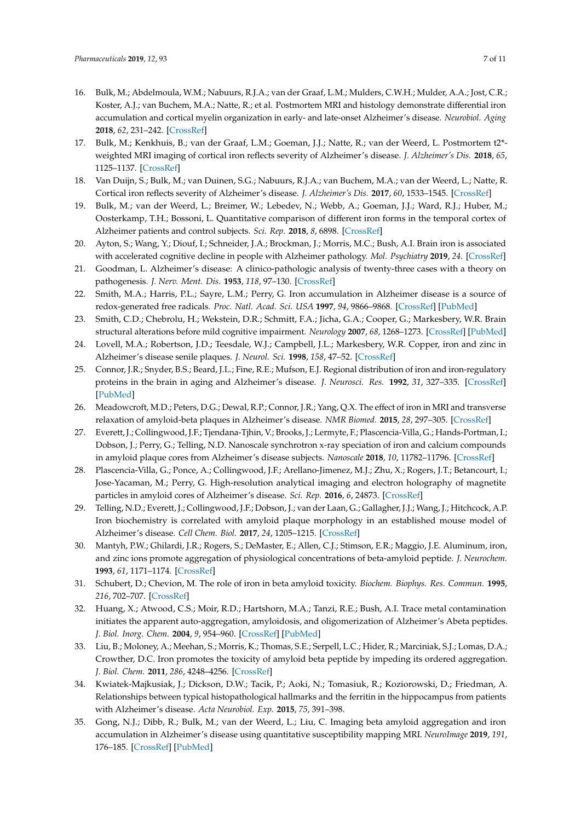- <span id="page-6-0"></span>16. Bulk, M.; Abdelmoula, W.M.; Nabuurs, R.J.A.; van der Graaf, L.M.; Mulders, C.W.H.; Mulder, A.A.; Jost, C.R.; Koster, A.J.; van Buchem, M.A.; Natte, R.; et al. Postmortem MRI and histology demonstrate differential iron accumulation and cortical myelin organization in early- and late-onset Alzheimer's disease. *Neurobiol. Aging* **2018**, *62*, 231–242. [\[CrossRef\]](http://dx.doi.org/10.1016/j.neurobiolaging.2017.10.017)
- <span id="page-6-1"></span>17. Bulk, M.; Kenkhuis, B.; van der Graaf, L.M.; Goeman, J.J.; Natte, R.; van der Weerd, L. Postmortem t2\* weighted MRI imaging of cortical iron reflects severity of Alzheimer's disease. *J. Alzheimer's Dis.* **2018**, *65*, 1125–1137. [\[CrossRef\]](http://dx.doi.org/10.3233/JAD-180317)
- <span id="page-6-2"></span>18. Van Duijn, S.; Bulk, M.; van Duinen, S.G.; Nabuurs, R.J.A.; van Buchem, M.A.; van der Weerd, L.; Natte, R. Cortical iron reflects severity of Alzheimer's disease. *J. Alzheimer's Dis.* **2017**, *60*, 1533–1545. [\[CrossRef\]](http://dx.doi.org/10.3233/JAD-161143)
- <span id="page-6-3"></span>19. Bulk, M.; van der Weerd, L.; Breimer, W.; Lebedev, N.; Webb, A.; Goeman, J.J.; Ward, R.J.; Huber, M.; Oosterkamp, T.H.; Bossoni, L. Quantitative comparison of different iron forms in the temporal cortex of Alzheimer patients and control subjects. *Sci. Rep.* **2018**, *8*, 6898. [\[CrossRef\]](http://dx.doi.org/10.1038/s41598-018-25021-7)
- <span id="page-6-4"></span>20. Ayton, S.; Wang, Y.; Diouf, I.; Schneider, J.A.; Brockman, J.; Morris, M.C.; Bush, A.I. Brain iron is associated with accelerated cognitive decline in people with Alzheimer pathology. *Mol. Psychiatry* **2019**, *24*. [\[CrossRef\]](http://dx.doi.org/10.1038/s41380-019-0375-7)
- <span id="page-6-5"></span>21. Goodman, L. Alzheimer's disease: A clinico-pathologic analysis of twenty-three cases with a theory on pathogenesis. *J. Nerv. Ment. Dis.* **1953**, *118*, 97–130. [\[CrossRef\]](http://dx.doi.org/10.1097/00005053-195308000-00001)
- 22. Smith, M.A.; Harris, P.L.; Sayre, L.M.; Perry, G. Iron accumulation in Alzheimer disease is a source of redox-generated free radicals. *Proc. Natl. Acad. Sci. USA* **1997**, *94*, 9866–9868. [\[CrossRef\]](http://dx.doi.org/10.1073/pnas.94.18.9866) [\[PubMed\]](http://www.ncbi.nlm.nih.gov/pubmed/9275217)
- 23. Smith, C.D.; Chebrolu, H.; Wekstein, D.R.; Schmitt, F.A.; Jicha, G.A.; Cooper, G.; Markesbery, W.R. Brain structural alterations before mild cognitive impairment. *Neurology* **2007**, *68*, 1268–1273. [\[CrossRef\]](http://dx.doi.org/10.1212/01.wnl.0000259542.54830.34) [\[PubMed\]](http://www.ncbi.nlm.nih.gov/pubmed/17438217)
- 24. Lovell, M.A.; Robertson, J.D.; Teesdale, W.J.; Campbell, J.L.; Markesbery, W.R. Copper, iron and zinc in Alzheimer's disease senile plaques. *J. Neurol. Sci.* **1998**, *158*, 47–52. [\[CrossRef\]](http://dx.doi.org/10.1016/S0022-510X(98)00092-6)
- 25. Connor, J.R.; Snyder, B.S.; Beard, J.L.; Fine, R.E.; Mufson, E.J. Regional distribution of iron and iron-regulatory proteins in the brain in aging and Alzheimer's disease. *J. Neurosci. Res.* **1992**, *31*, 327–335. [\[CrossRef\]](http://dx.doi.org/10.1002/jnr.490310214) [\[PubMed\]](http://www.ncbi.nlm.nih.gov/pubmed/1573683)
- <span id="page-6-7"></span>26. Meadowcroft, M.D.; Peters, D.G.; Dewal, R.P.; Connor, J.R.; Yang, Q.X. The effect of iron in MRI and transverse relaxation of amyloid-beta plaques in Alzheimer's disease. *NMR Biomed.* **2015**, *28*, 297–305. [\[CrossRef\]](http://dx.doi.org/10.1002/nbm.3247)
- 27. Everett, J.; Collingwood, J.F.; Tjendana-Tjhin, V.; Brooks, J.; Lermyte, F.; Plascencia-Villa, G.; Hands-Portman, I.; Dobson, J.; Perry, G.; Telling, N.D. Nanoscale synchrotron x-ray speciation of iron and calcium compounds in amyloid plaque cores from Alzheimer's disease subjects. *Nanoscale* **2018**, *10*, 11782–11796. [\[CrossRef\]](http://dx.doi.org/10.1039/C7NR06794A)
- <span id="page-6-8"></span>28. Plascencia-Villa, G.; Ponce, A.; Collingwood, J.F.; Arellano-Jimenez, M.J.; Zhu, X.; Rogers, J.T.; Betancourt, I.; Jose-Yacaman, M.; Perry, G. High-resolution analytical imaging and electron holography of magnetite particles in amyloid cores of Alzheimer's disease. *Sci. Rep.* **2016**, *6*, 24873. [\[CrossRef\]](http://dx.doi.org/10.1038/srep24873)
- <span id="page-6-6"></span>29. Telling, N.D.; Everett, J.; Collingwood, J.F.; Dobson, J.; van der Laan, G.; Gallagher, J.J.; Wang, J.; Hitchcock, A.P. Iron biochemistry is correlated with amyloid plaque morphology in an established mouse model of Alzheimer's disease. *Cell Chem. Biol.* **2017**, *24*, 1205–1215. [\[CrossRef\]](http://dx.doi.org/10.1016/j.chembiol.2017.07.014)
- 30. Mantyh, P.W.; Ghilardi, J.R.; Rogers, S.; DeMaster, E.; Allen, C.J.; Stimson, E.R.; Maggio, J.E. Aluminum, iron, and zinc ions promote aggregation of physiological concentrations of beta-amyloid peptide. *J. Neurochem.* **1993**, *61*, 1171–1174. [\[CrossRef\]](http://dx.doi.org/10.1111/j.1471-4159.1993.tb03639.x)
- 31. Schubert, D.; Chevion, M. The role of iron in beta amyloid toxicity. *Biochem. Biophys. Res. Commun.* **1995**, *216*, 702–707. [\[CrossRef\]](http://dx.doi.org/10.1006/bbrc.1995.2678)
- 32. Huang, X.; Atwood, C.S.; Moir, R.D.; Hartshorn, M.A.; Tanzi, R.E.; Bush, A.I. Trace metal contamination initiates the apparent auto-aggregation, amyloidosis, and oligomerization of Alzheimer's Abeta peptides. *J. Biol. Inorg. Chem.* **2004**, *9*, 954–960. [\[CrossRef\]](http://dx.doi.org/10.1007/s00775-004-0602-8) [\[PubMed\]](http://www.ncbi.nlm.nih.gov/pubmed/15578276)
- <span id="page-6-9"></span>33. Liu, B.; Moloney, A.; Meehan, S.; Morris, K.; Thomas, S.E.; Serpell, L.C.; Hider, R.; Marciniak, S.J.; Lomas, D.A.; Crowther, D.C. Iron promotes the toxicity of amyloid beta peptide by impeding its ordered aggregation. *J. Biol. Chem.* **2011**, *286*, 4248–4256. [\[CrossRef\]](http://dx.doi.org/10.1074/jbc.M110.158980)
- <span id="page-6-10"></span>34. Kwiatek-Majkusiak, J.; Dickson, D.W.; Tacik, P.; Aoki, N.; Tomasiuk, R.; Koziorowski, D.; Friedman, A. Relationships between typical histopathological hallmarks and the ferritin in the hippocampus from patients with Alzheimer's disease. *Acta Neurobiol. Exp.* **2015**, *75*, 391–398.
- <span id="page-6-11"></span>35. Gong, N.J.; Dibb, R.; Bulk, M.; van der Weerd, L.; Liu, C. Imaging beta amyloid aggregation and iron accumulation in Alzheimer's disease using quantitative susceptibility mapping MRI. *NeuroImage* **2019**, *191*, 176–185. [\[CrossRef\]](http://dx.doi.org/10.1016/j.neuroimage.2019.02.019) [\[PubMed\]](http://www.ncbi.nlm.nih.gov/pubmed/30739060)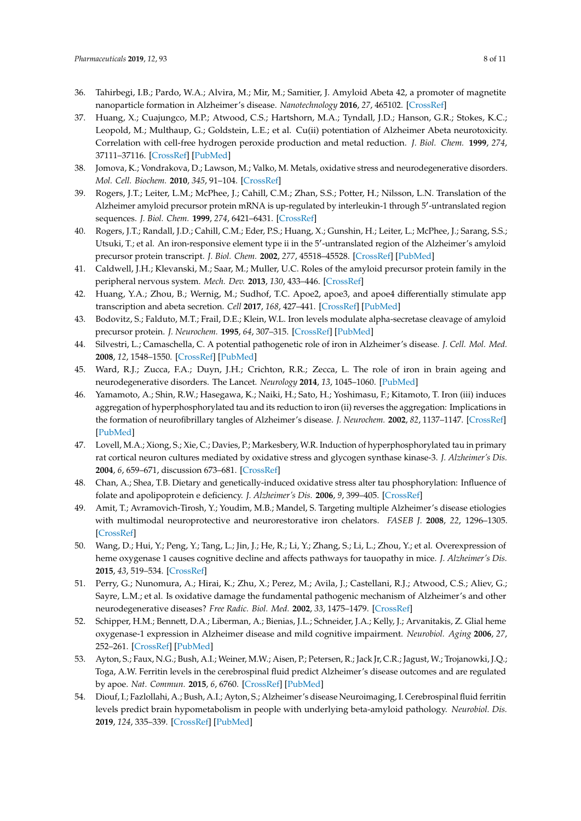- <span id="page-7-0"></span>36. Tahirbegi, I.B.; Pardo, W.A.; Alvira, M.; Mir, M.; Samitier, J. Amyloid Abeta 42, a promoter of magnetite nanoparticle formation in Alzheimer's disease. *Nanotechnology* **2016**, *27*, 465102. [\[CrossRef\]](http://dx.doi.org/10.1088/0957-4484/27/46/465102)
- <span id="page-7-1"></span>37. Huang, X.; Cuajungco, M.P.; Atwood, C.S.; Hartshorn, M.A.; Tyndall, J.D.; Hanson, G.R.; Stokes, K.C.; Leopold, M.; Multhaup, G.; Goldstein, L.E.; et al. Cu(ii) potentiation of Alzheimer Abeta neurotoxicity. Correlation with cell-free hydrogen peroxide production and metal reduction. *J. Biol. Chem.* **1999**, *274*, 37111–37116. [\[CrossRef\]](http://dx.doi.org/10.1074/jbc.274.52.37111) [\[PubMed\]](http://www.ncbi.nlm.nih.gov/pubmed/10601271)
- <span id="page-7-2"></span>38. Jomova, K.; Vondrakova, D.; Lawson, M.; Valko, M. Metals, oxidative stress and neurodegenerative disorders. *Mol. Cell. Biochem.* **2010**, *345*, 91–104. [\[CrossRef\]](http://dx.doi.org/10.1007/s11010-010-0563-x)
- <span id="page-7-3"></span>39. Rogers, J.T.; Leiter, L.M.; McPhee, J.; Cahill, C.M.; Zhan, S.S.; Potter, H.; Nilsson, L.N. Translation of the Alzheimer amyloid precursor protein mRNA is up-regulated by interleukin-1 through 5'-untranslated region sequences. *J. Biol. Chem.* **1999**, *274*, 6421–6431. [\[CrossRef\]](http://dx.doi.org/10.1074/jbc.274.10.6421)
- 40. Rogers, J.T.; Randall, J.D.; Cahill, C.M.; Eder, P.S.; Huang, X.; Gunshin, H.; Leiter, L.; McPhee, J.; Sarang, S.S.; Utsuki, T.; et al. An iron-responsive element type ii in the 5'-untranslated region of the Alzheimer's amyloid precursor protein transcript. *J. Biol. Chem.* **2002**, *277*, 45518–45528. [\[CrossRef\]](http://dx.doi.org/10.1074/jbc.M207435200) [\[PubMed\]](http://www.ncbi.nlm.nih.gov/pubmed/12198135)
- 41. Caldwell, J.H.; Klevanski, M.; Saar, M.; Muller, U.C. Roles of the amyloid precursor protein family in the peripheral nervous system. *Mech. Dev.* **2013**, *130*, 433–446. [\[CrossRef\]](http://dx.doi.org/10.1016/j.mod.2012.11.001)
- 42. Huang, Y.A.; Zhou, B.; Wernig, M.; Sudhof, T.C. Apoe2, apoe3, and apoe4 differentially stimulate app transcription and abeta secretion. *Cell* **2017**, *168*, 427–441. [\[CrossRef\]](http://dx.doi.org/10.1016/j.cell.2016.12.044) [\[PubMed\]](http://www.ncbi.nlm.nih.gov/pubmed/28111074)
- <span id="page-7-5"></span>43. Bodovitz, S.; Falduto, M.T.; Frail, D.E.; Klein, W.L. Iron levels modulate alpha-secretase cleavage of amyloid precursor protein. *J. Neurochem.* **1995**, *64*, 307–315. [\[CrossRef\]](http://dx.doi.org/10.1046/j.1471-4159.1995.64010307.x) [\[PubMed\]](http://www.ncbi.nlm.nih.gov/pubmed/7798927)
- 44. Silvestri, L.; Camaschella, C. A potential pathogenetic role of iron in Alzheimer's disease. *J. Cell. Mol. Med.* **2008**, *12*, 1548–1550. [\[CrossRef\]](http://dx.doi.org/10.1111/j.1582-4934.2008.00356.x) [\[PubMed\]](http://www.ncbi.nlm.nih.gov/pubmed/18466351)
- <span id="page-7-4"></span>45. Ward, R.J.; Zucca, F.A.; Duyn, J.H.; Crichton, R.R.; Zecca, L. The role of iron in brain ageing and neurodegenerative disorders. The Lancet. *Neurology* **2014**, *13*, 1045–1060. [\[PubMed\]](http://www.ncbi.nlm.nih.gov/pubmed/25231526)
- <span id="page-7-6"></span>46. Yamamoto, A.; Shin, R.W.; Hasegawa, K.; Naiki, H.; Sato, H.; Yoshimasu, F.; Kitamoto, T. Iron (iii) induces aggregation of hyperphosphorylated tau and its reduction to iron (ii) reverses the aggregation: Implications in the formation of neurofibrillary tangles of Alzheimer's disease. *J. Neurochem.* **2002**, *82*, 1137–1147. [\[CrossRef\]](http://dx.doi.org/10.1046/j.1471-4159.2002.t01-1-01061.x) [\[PubMed\]](http://www.ncbi.nlm.nih.gov/pubmed/12358761)
- 47. Lovell, M.A.; Xiong, S.; Xie, C.; Davies, P.; Markesbery, W.R. Induction of hyperphosphorylated tau in primary rat cortical neuron cultures mediated by oxidative stress and glycogen synthase kinase-3. *J. Alzheimer's Dis.* **2004**, *6*, 659–671, discussion 673–681. [\[CrossRef\]](http://dx.doi.org/10.3233/JAD-2004-6610)
- <span id="page-7-7"></span>48. Chan, A.; Shea, T.B. Dietary and genetically-induced oxidative stress alter tau phosphorylation: Influence of folate and apolipoprotein e deficiency. *J. Alzheimer's Dis.* **2006**, *9*, 399–405. [\[CrossRef\]](http://dx.doi.org/10.3233/JAD-2006-9405)
- <span id="page-7-8"></span>49. Amit, T.; Avramovich-Tirosh, Y.; Youdim, M.B.; Mandel, S. Targeting multiple Alzheimer's disease etiologies with multimodal neuroprotective and neurorestorative iron chelators. *FASEB J.* **2008**, *22*, 1296–1305. [\[CrossRef\]](http://dx.doi.org/10.1096/fj.07-8627rev)
- <span id="page-7-9"></span>50. Wang, D.; Hui, Y.; Peng, Y.; Tang, L.; Jin, J.; He, R.; Li, Y.; Zhang, S.; Li, L.; Zhou, Y.; et al. Overexpression of heme oxygenase 1 causes cognitive decline and affects pathways for tauopathy in mice. *J. Alzheimer's Dis.* **2015**, *43*, 519–534. [\[CrossRef\]](http://dx.doi.org/10.3233/JAD-140567)
- 51. Perry, G.; Nunomura, A.; Hirai, K.; Zhu, X.; Perez, M.; Avila, J.; Castellani, R.J.; Atwood, C.S.; Aliev, G.; Sayre, L.M.; et al. Is oxidative damage the fundamental pathogenic mechanism of Alzheimer's and other neurodegenerative diseases? *Free Radic. Biol. Med.* **2002**, *33*, 1475–1479. [\[CrossRef\]](http://dx.doi.org/10.1016/S0891-5849(02)01113-9)
- <span id="page-7-10"></span>52. Schipper, H.M.; Bennett, D.A.; Liberman, A.; Bienias, J.L.; Schneider, J.A.; Kelly, J.; Arvanitakis, Z. Glial heme oxygenase-1 expression in Alzheimer disease and mild cognitive impairment. *Neurobiol. Aging* **2006**, *27*, 252–261. [\[CrossRef\]](http://dx.doi.org/10.1016/j.neurobiolaging.2005.01.016) [\[PubMed\]](http://www.ncbi.nlm.nih.gov/pubmed/16399210)
- <span id="page-7-11"></span>53. Ayton, S.; Faux, N.G.; Bush, A.I.; Weiner, M.W.; Aisen, P.; Petersen, R.; Jack Jr, C.R.; Jagust, W.; Trojanowki, J.Q.; Toga, A.W. Ferritin levels in the cerebrospinal fluid predict Alzheimer's disease outcomes and are regulated by apoe. *Nat. Commun.* **2015**, *6*, 6760. [\[CrossRef\]](http://dx.doi.org/10.1038/ncomms7760) [\[PubMed\]](http://www.ncbi.nlm.nih.gov/pubmed/25988319)
- <span id="page-7-12"></span>54. Diouf, I.; Fazlollahi, A.; Bush, A.I.; Ayton, S.; Alzheimer's disease Neuroimaging, I. Cerebrospinal fluid ferritin levels predict brain hypometabolism in people with underlying beta-amyloid pathology. *Neurobiol. Dis.* **2019**, *124*, 335–339. [\[CrossRef\]](http://dx.doi.org/10.1016/j.nbd.2018.12.010) [\[PubMed\]](http://www.ncbi.nlm.nih.gov/pubmed/30557658)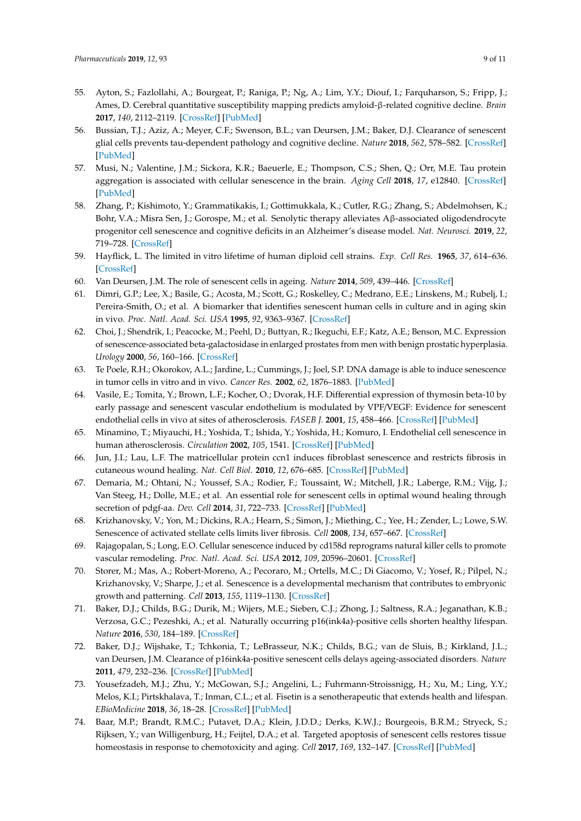- <span id="page-8-0"></span>55. Ayton, S.; Fazlollahi, A.; Bourgeat, P.; Raniga, P.; Ng, A.; Lim, Y.Y.; Diouf, I.; Farquharson, S.; Fripp, J.; Ames, D. Cerebral quantitative susceptibility mapping predicts amyloid-β-related cognitive decline. *Brain* **2017**, *140*, 2112–2119. [\[CrossRef\]](http://dx.doi.org/10.1093/brain/awx137) [\[PubMed\]](http://www.ncbi.nlm.nih.gov/pubmed/28899019)
- <span id="page-8-1"></span>56. Bussian, T.J.; Aziz, A.; Meyer, C.F.; Swenson, B.L.; van Deursen, J.M.; Baker, D.J. Clearance of senescent glial cells prevents tau-dependent pathology and cognitive decline. *Nature* **2018**, *562*, 578–582. [\[CrossRef\]](http://dx.doi.org/10.1038/s41586-018-0543-y) [\[PubMed\]](http://www.ncbi.nlm.nih.gov/pubmed/30232451)
- <span id="page-8-13"></span>57. Musi, N.; Valentine, J.M.; Sickora, K.R.; Baeuerle, E.; Thompson, C.S.; Shen, Q.; Orr, M.E. Tau protein aggregation is associated with cellular senescence in the brain. *Aging Cell* **2018**, *17*, e12840. [\[CrossRef\]](http://dx.doi.org/10.1111/acel.12840) [\[PubMed\]](http://www.ncbi.nlm.nih.gov/pubmed/30126037)
- <span id="page-8-2"></span>58. Zhang, P.; Kishimoto, Y.; Grammatikakis, I.; Gottimukkala, K.; Cutler, R.G.; Zhang, S.; Abdelmohsen, K.; Bohr, V.A.; Misra Sen, J.; Gorospe, M.; et al. Senolytic therapy alleviates Aβ-associated oligodendrocyte progenitor cell senescence and cognitive deficits in an Alzheimer's disease model. *Nat. Neurosci.* **2019**, *22*, 719–728. [\[CrossRef\]](http://dx.doi.org/10.1038/s41593-019-0372-9)
- <span id="page-8-3"></span>59. Hayflick, L. The limited in vitro lifetime of human diploid cell strains. *Exp. Cell Res.* **1965**, *37*, 614–636. [\[CrossRef\]](http://dx.doi.org/10.1016/0014-4827(65)90211-9)
- <span id="page-8-4"></span>60. Van Deursen, J.M. The role of senescent cells in ageing. *Nature* **2014**, *509*, 439–446. [\[CrossRef\]](http://dx.doi.org/10.1038/nature13193)
- <span id="page-8-5"></span>61. Dimri, G.P.; Lee, X.; Basile, G.; Acosta, M.; Scott, G.; Roskelley, C.; Medrano, E.E.; Linskens, M.; Rubelj, I.; Pereira-Smith, O.; et al. A biomarker that identifies senescent human cells in culture and in aging skin in vivo. *Proc. Natl. Acad. Sci. USA* **1995**, *92*, 9363–9367. [\[CrossRef\]](http://dx.doi.org/10.1073/pnas.92.20.9363)
- 62. Choi, J.; Shendrik, I.; Peacocke, M.; Peehl, D.; Buttyan, R.; Ikeguchi, E.F.; Katz, A.E.; Benson, M.C. Expression of senescence-associated beta-galactosidase in enlarged prostates from men with benign prostatic hyperplasia. *Urology* **2000**, *56*, 160–166. [\[CrossRef\]](http://dx.doi.org/10.1016/S0090-4295(00)00538-0)
- 63. Te Poele, R.H.; Okorokov, A.L.; Jardine, L.; Cummings, J.; Joel, S.P. DNA damage is able to induce senescence in tumor cells in vitro and in vivo. *Cancer Res.* **2002**, *62*, 1876–1883. [\[PubMed\]](http://www.ncbi.nlm.nih.gov/pubmed/11912168)
- 64. Vasile, E.; Tomita, Y.; Brown, L.F.; Kocher, O.; Dvorak, H.F. Differential expression of thymosin beta-10 by early passage and senescent vascular endothelium is modulated by VPF/VEGF: Evidence for senescent endothelial cells in vivo at sites of atherosclerosis. *FASEB J.* **2001**, *15*, 458–466. [\[CrossRef\]](http://dx.doi.org/10.1096/fj.00-0051com) [\[PubMed\]](http://www.ncbi.nlm.nih.gov/pubmed/11156961)
- <span id="page-8-6"></span>65. Minamino, T.; Miyauchi, H.; Yoshida, T.; Ishida, Y.; Yoshida, H.; Komuro, I. Endothelial cell senescence in human atherosclerosis. *Circulation* **2002**, *105*, 1541. [\[CrossRef\]](http://dx.doi.org/10.1161/01.CIR.0000013836.85741.17) [\[PubMed\]](http://www.ncbi.nlm.nih.gov/pubmed/11927518)
- <span id="page-8-7"></span>66. Jun, J.I.; Lau, L.F. The matricellular protein ccn1 induces fibroblast senescence and restricts fibrosis in cutaneous wound healing. *Nat. Cell Biol.* **2010**, *12*, 676–685. [\[CrossRef\]](http://dx.doi.org/10.1038/ncb2070) [\[PubMed\]](http://www.ncbi.nlm.nih.gov/pubmed/20526329)
- <span id="page-8-8"></span>67. Demaria, M.; Ohtani, N.; Youssef, S.A.; Rodier, F.; Toussaint, W.; Mitchell, J.R.; Laberge, R.M.; Vijg, J.; Van Steeg, H.; Dolle, M.E.; et al. An essential role for senescent cells in optimal wound healing through secretion of pdgf-aa. *Dev. Cell* **2014**, *31*, 722–733. [\[CrossRef\]](http://dx.doi.org/10.1016/j.devcel.2014.11.012) [\[PubMed\]](http://www.ncbi.nlm.nih.gov/pubmed/25499914)
- <span id="page-8-9"></span>68. Krizhanovsky, V.; Yon, M.; Dickins, R.A.; Hearn, S.; Simon, J.; Miething, C.; Yee, H.; Zender, L.; Lowe, S.W. Senescence of activated stellate cells limits liver fibrosis. *Cell* **2008**, *134*, 657–667. [\[CrossRef\]](http://dx.doi.org/10.1016/j.cell.2008.06.049)
- <span id="page-8-10"></span>69. Rajagopalan, S.; Long, E.O. Cellular senescence induced by cd158d reprograms natural killer cells to promote vascular remodeling. *Proc. Natl. Acad. Sci. USA* **2012**, *109*, 20596–20601. [\[CrossRef\]](http://dx.doi.org/10.1073/pnas.1208248109)
- <span id="page-8-11"></span>70. Storer, M.; Mas, A.; Robert-Moreno, A.; Pecoraro, M.; Ortells, M.C.; Di Giacomo, V.; Yosef, R.; Pilpel, N.; Krizhanovsky, V.; Sharpe, J.; et al. Senescence is a developmental mechanism that contributes to embryonic growth and patterning. *Cell* **2013**, *155*, 1119–1130. [\[CrossRef\]](http://dx.doi.org/10.1016/j.cell.2013.10.041)
- <span id="page-8-12"></span>71. Baker, D.J.; Childs, B.G.; Durik, M.; Wijers, M.E.; Sieben, C.J.; Zhong, J.; Saltness, R.A.; Jeganathan, K.B.; Verzosa, G.C.; Pezeshki, A.; et al. Naturally occurring p16(ink4a)-positive cells shorten healthy lifespan. *Nature* **2016**, *530*, 184–189. [\[CrossRef\]](http://dx.doi.org/10.1038/nature16932)
- 72. Baker, D.J.; Wijshake, T.; Tchkonia, T.; LeBrasseur, N.K.; Childs, B.G.; van de Sluis, B.; Kirkland, J.L.; van Deursen, J.M. Clearance of p16ink4a-positive senescent cells delays ageing-associated disorders. *Nature* **2011**, *479*, 232–236. [\[CrossRef\]](http://dx.doi.org/10.1038/nature10600) [\[PubMed\]](http://www.ncbi.nlm.nih.gov/pubmed/22048312)
- 73. Yousefzadeh, M.J.; Zhu, Y.; McGowan, S.J.; Angelini, L.; Fuhrmann-Stroissnigg, H.; Xu, M.; Ling, Y.Y.; Melos, K.I.; Pirtskhalava, T.; Inman, C.L.; et al. Fisetin is a senotherapeutic that extends health and lifespan. *EBioMedicine* **2018**, *36*, 18–28. [\[CrossRef\]](http://dx.doi.org/10.1016/j.ebiom.2018.09.015) [\[PubMed\]](http://www.ncbi.nlm.nih.gov/pubmed/30279143)
- 74. Baar, M.P.; Brandt, R.M.C.; Putavet, D.A.; Klein, J.D.D.; Derks, K.W.J.; Bourgeois, B.R.M.; Stryeck, S.; Rijksen, Y.; van Willigenburg, H.; Feijtel, D.A.; et al. Targeted apoptosis of senescent cells restores tissue homeostasis in response to chemotoxicity and aging. *Cell* **2017**, *169*, 132–147. [\[CrossRef\]](http://dx.doi.org/10.1016/j.cell.2017.02.031) [\[PubMed\]](http://www.ncbi.nlm.nih.gov/pubmed/28340339)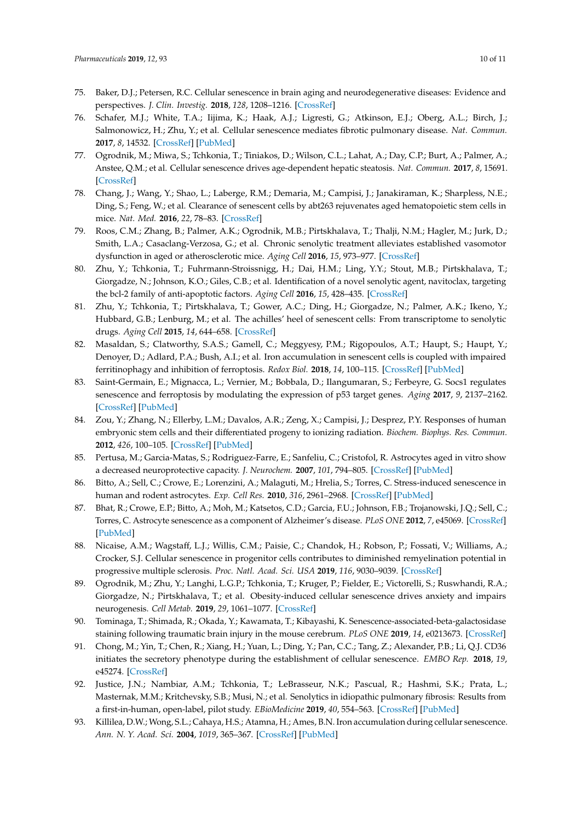- <span id="page-9-2"></span>75. Baker, D.J.; Petersen, R.C. Cellular senescence in brain aging and neurodegenerative diseases: Evidence and perspectives. *J. Clin. Investig.* **2018**, *128*, 1208–1216. [\[CrossRef\]](http://dx.doi.org/10.1172/JCI95145)
- <span id="page-9-10"></span>76. Schafer, M.J.; White, T.A.; Iijima, K.; Haak, A.J.; Ligresti, G.; Atkinson, E.J.; Oberg, A.L.; Birch, J.; Salmonowicz, H.; Zhu, Y.; et al. Cellular senescence mediates fibrotic pulmonary disease. *Nat. Commun.* **2017**, *8*, 14532. [\[CrossRef\]](http://dx.doi.org/10.1038/ncomms14532) [\[PubMed\]](http://www.ncbi.nlm.nih.gov/pubmed/28230051)
- 77. Ogrodnik, M.; Miwa, S.; Tchkonia, T.; Tiniakos, D.; Wilson, C.L.; Lahat, A.; Day, C.P.; Burt, A.; Palmer, A.; Anstee, Q.M.; et al. Cellular senescence drives age-dependent hepatic steatosis. *Nat. Commun.* **2017**, *8*, 15691. [\[CrossRef\]](http://dx.doi.org/10.1038/ncomms15691)
- 78. Chang, J.; Wang, Y.; Shao, L.; Laberge, R.M.; Demaria, M.; Campisi, J.; Janakiraman, K.; Sharpless, N.E.; Ding, S.; Feng, W.; et al. Clearance of senescent cells by abt263 rejuvenates aged hematopoietic stem cells in mice. *Nat. Med.* **2016**, *22*, 78–83. [\[CrossRef\]](http://dx.doi.org/10.1038/nm.4010)
- 79. Roos, C.M.; Zhang, B.; Palmer, A.K.; Ogrodnik, M.B.; Pirtskhalava, T.; Thalji, N.M.; Hagler, M.; Jurk, D.; Smith, L.A.; Casaclang-Verzosa, G.; et al. Chronic senolytic treatment alleviates established vasomotor dysfunction in aged or atherosclerotic mice. *Aging Cell* **2016**, *15*, 973–977. [\[CrossRef\]](http://dx.doi.org/10.1111/acel.12458)
- 80. Zhu, Y.; Tchkonia, T.; Fuhrmann-Stroissnigg, H.; Dai, H.M.; Ling, Y.Y.; Stout, M.B.; Pirtskhalava, T.; Giorgadze, N.; Johnson, K.O.; Giles, C.B.; et al. Identification of a novel senolytic agent, navitoclax, targeting the bcl-2 family of anti-apoptotic factors. *Aging Cell* **2016**, *15*, 428–435. [\[CrossRef\]](http://dx.doi.org/10.1111/acel.12445)
- <span id="page-9-0"></span>81. Zhu, Y.; Tchkonia, T.; Pirtskhalava, T.; Gower, A.C.; Ding, H.; Giorgadze, N.; Palmer, A.K.; Ikeno, Y.; Hubbard, G.B.; Lenburg, M.; et al. The achilles' heel of senescent cells: From transcriptome to senolytic drugs. *Aging Cell* **2015**, *14*, 644–658. [\[CrossRef\]](http://dx.doi.org/10.1111/acel.12344)
- <span id="page-9-12"></span>82. Masaldan, S.; Clatworthy, S.A.S.; Gamell, C.; Meggyesy, P.M.; Rigopoulos, A.T.; Haupt, S.; Haupt, Y.; Denoyer, D.; Adlard, P.A.; Bush, A.I.; et al. Iron accumulation in senescent cells is coupled with impaired ferritinophagy and inhibition of ferroptosis. *Redox Biol.* **2018**, *14*, 100–115. [\[CrossRef\]](http://dx.doi.org/10.1016/j.redox.2017.08.015) [\[PubMed\]](http://www.ncbi.nlm.nih.gov/pubmed/28888202)
- <span id="page-9-1"></span>83. Saint-Germain, E.; Mignacca, L.; Vernier, M.; Bobbala, D.; Ilangumaran, S.; Ferbeyre, G. Socs1 regulates senescence and ferroptosis by modulating the expression of p53 target genes. *Aging* **2017**, *9*, 2137–2162. [\[CrossRef\]](http://dx.doi.org/10.18632/aging.101306) [\[PubMed\]](http://www.ncbi.nlm.nih.gov/pubmed/29081404)
- <span id="page-9-3"></span>84. Zou, Y.; Zhang, N.; Ellerby, L.M.; Davalos, A.R.; Zeng, X.; Campisi, J.; Desprez, P.Y. Responses of human embryonic stem cells and their differentiated progeny to ionizing radiation. *Biochem. Biophys. Res. Commun.* **2012**, *426*, 100–105. [\[CrossRef\]](http://dx.doi.org/10.1016/j.bbrc.2012.08.043) [\[PubMed\]](http://www.ncbi.nlm.nih.gov/pubmed/22917535)
- 85. Pertusa, M.; Garcia-Matas, S.; Rodriguez-Farre, E.; Sanfeliu, C.; Cristofol, R. Astrocytes aged in vitro show a decreased neuroprotective capacity. *J. Neurochem.* **2007**, *101*, 794–805. [\[CrossRef\]](http://dx.doi.org/10.1111/j.1471-4159.2006.04369.x) [\[PubMed\]](http://www.ncbi.nlm.nih.gov/pubmed/17250685)
- <span id="page-9-4"></span>86. Bitto, A.; Sell, C.; Crowe, E.; Lorenzini, A.; Malaguti, M.; Hrelia, S.; Torres, C. Stress-induced senescence in human and rodent astrocytes. *Exp. Cell Res.* **2010**, *316*, 2961–2968. [\[CrossRef\]](http://dx.doi.org/10.1016/j.yexcr.2010.06.021) [\[PubMed\]](http://www.ncbi.nlm.nih.gov/pubmed/20620137)
- <span id="page-9-5"></span>87. Bhat, R.; Crowe, E.P.; Bitto, A.; Moh, M.; Katsetos, C.D.; Garcia, F.U.; Johnson, F.B.; Trojanowski, J.Q.; Sell, C.; Torres, C. Astrocyte senescence as a component of Alzheimer's disease. *PLoS ONE* **2012**, *7*, e45069. [\[CrossRef\]](http://dx.doi.org/10.1371/journal.pone.0045069) [\[PubMed\]](http://www.ncbi.nlm.nih.gov/pubmed/22984612)
- <span id="page-9-6"></span>88. Nicaise, A.M.; Wagstaff, L.J.; Willis, C.M.; Paisie, C.; Chandok, H.; Robson, P.; Fossati, V.; Williams, A.; Crocker, S.J. Cellular senescence in progenitor cells contributes to diminished remyelination potential in progressive multiple sclerosis. *Proc. Natl. Acad. Sci. USA* **2019**, *116*, 9030–9039. [\[CrossRef\]](http://dx.doi.org/10.1073/pnas.1818348116)
- <span id="page-9-7"></span>89. Ogrodnik, M.; Zhu, Y.; Langhi, L.G.P.; Tchkonia, T.; Kruger, P.; Fielder, E.; Victorelli, S.; Ruswhandi, R.A.; Giorgadze, N.; Pirtskhalava, T.; et al. Obesity-induced cellular senescence drives anxiety and impairs neurogenesis. *Cell Metab.* **2019**, *29*, 1061–1077. [\[CrossRef\]](http://dx.doi.org/10.1016/j.cmet.2018.12.008)
- <span id="page-9-8"></span>90. Tominaga, T.; Shimada, R.; Okada, Y.; Kawamata, T.; Kibayashi, K. Senescence-associated-beta-galactosidase staining following traumatic brain injury in the mouse cerebrum. *PLoS ONE* **2019**, *14*, e0213673. [\[CrossRef\]](http://dx.doi.org/10.1371/journal.pone.0213673)
- <span id="page-9-9"></span>91. Chong, M.; Yin, T.; Chen, R.; Xiang, H.; Yuan, L.; Ding, Y.; Pan, C.C.; Tang, Z.; Alexander, P.B.; Li, Q.J. CD36 initiates the secretory phenotype during the establishment of cellular senescence. *EMBO Rep.* **2018**, *19*, e45274. [\[CrossRef\]](http://dx.doi.org/10.15252/embr.201745274)
- <span id="page-9-11"></span>92. Justice, J.N.; Nambiar, A.M.; Tchkonia, T.; LeBrasseur, N.K.; Pascual, R.; Hashmi, S.K.; Prata, L.; Masternak, M.M.; Kritchevsky, S.B.; Musi, N.; et al. Senolytics in idiopathic pulmonary fibrosis: Results from a first-in-human, open-label, pilot study. *EBioMedicine* **2019**, *40*, 554–563. [\[CrossRef\]](http://dx.doi.org/10.1016/j.ebiom.2018.12.052) [\[PubMed\]](http://www.ncbi.nlm.nih.gov/pubmed/30616998)
- <span id="page-9-13"></span>93. Killilea, D.W.; Wong, S.L.; Cahaya, H.S.; Atamna, H.; Ames, B.N. Iron accumulation during cellular senescence. *Ann. N. Y. Acad. Sci.* **2004**, *1019*, 365–367. [\[CrossRef\]](http://dx.doi.org/10.1196/annals.1297.063) [\[PubMed\]](http://www.ncbi.nlm.nih.gov/pubmed/15247045)